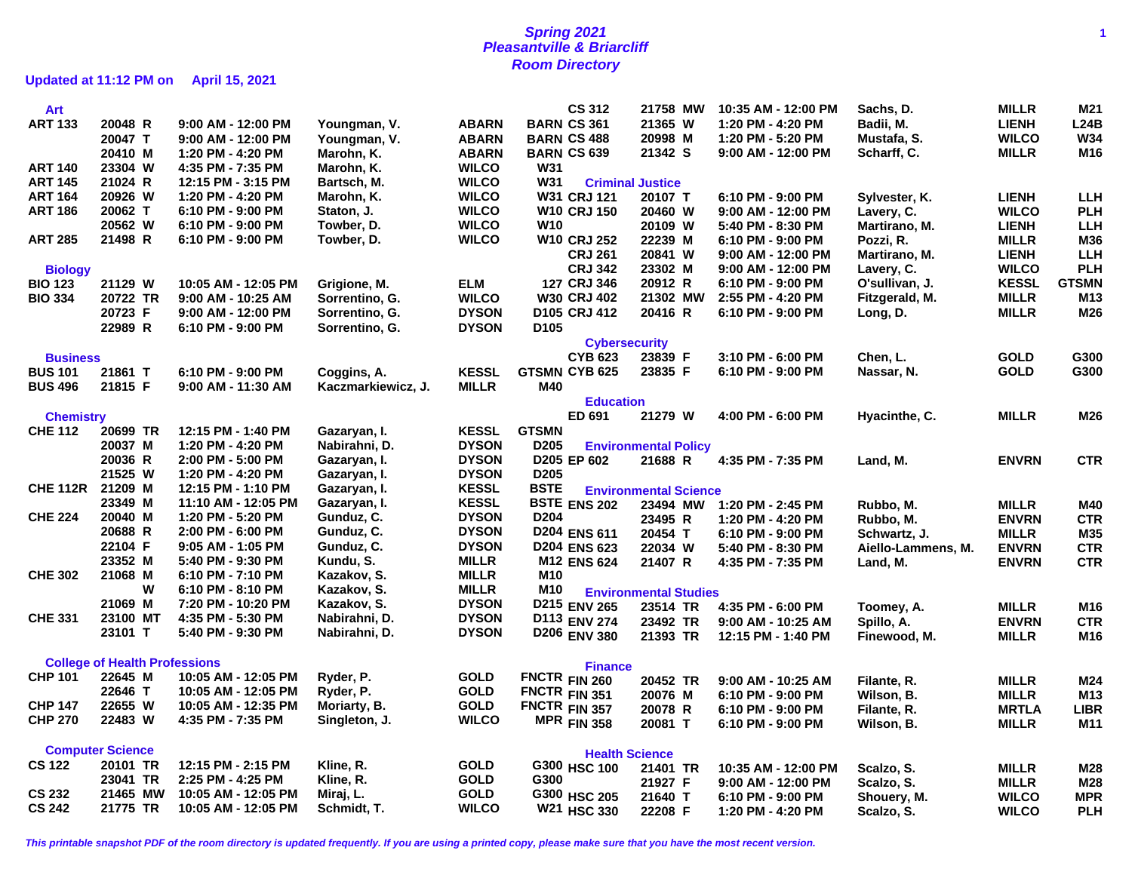## **Spring 2021 1 Pleasantville & Briarcliff Room Directory**

**Updated at 11:12 PM on April 15, 2021**

| Art              |                                      |                      |                    |              |                  | <b>CS 312</b>        | 21758 MW                     | 10:35 AM - 12:00 PM | Sachs, D.          | <b>MILLR</b> | M21             |
|------------------|--------------------------------------|----------------------|--------------------|--------------|------------------|----------------------|------------------------------|---------------------|--------------------|--------------|-----------------|
| <b>ART 133</b>   | 20048 R                              | 9:00 AM - 12:00 PM   | Youngman, V.       | <b>ABARN</b> |                  | <b>BARN CS 361</b>   | 21365 W                      | 1:20 PM - 4:20 PM   | Badii, M.          | <b>LIENH</b> | L24B            |
|                  | 20047 T                              | $9:00$ AM - 12:00 PM | Youngman, V.       | <b>ABARN</b> |                  | <b>BARN CS 488</b>   | 20998 M                      | 1:20 PM - 5:20 PM   | Mustafa, S.        | <b>WILCO</b> | <b>W34</b>      |
|                  | 20410 M                              | 1:20 PM - 4:20 PM    | Marohn, K.         | <b>ABARN</b> |                  | <b>BARN CS 639</b>   | 21342 S                      | 9:00 AM - 12:00 PM  | Scharff, C.        | <b>MILLR</b> | M16             |
| <b>ART 140</b>   | 23304 W                              | 4:35 PM - 7:35 PM    | Marohn, K.         | <b>WILCO</b> | <b>W31</b>       |                      |                              |                     |                    |              |                 |
| <b>ART 145</b>   | 21024 R                              | 12:15 PM - 3:15 PM   | Bartsch, M.        | <b>WILCO</b> | <b>W31</b>       |                      | <b>Criminal Justice</b>      |                     |                    |              |                 |
| <b>ART 164</b>   | 20926 W                              | 1:20 PM - 4:20 PM    | Marohn, K.         | <b>WILCO</b> |                  | <b>W31 CRJ 121</b>   | 20107 T                      | 6:10 PM - 9:00 PM   | Sylvester, K.      | <b>LIENH</b> | <b>LLH</b>      |
| <b>ART 186</b>   | 20062 T                              | 6:10 PM - 9:00 PM    | Staton, J.         | <b>WILCO</b> |                  | <b>W10 CRJ 150</b>   | 20460 W                      | 9:00 AM - 12:00 PM  | Lavery, C.         | <b>WILCO</b> | <b>PLH</b>      |
|                  | 20562 W                              | 6:10 PM - 9:00 PM    | Towber, D.         | <b>WILCO</b> | W10              |                      | 20109 W                      | 5:40 PM - 8:30 PM   | Martirano, M.      | <b>LIENH</b> | <b>LLH</b>      |
| <b>ART 285</b>   | 21498 R                              | 6:10 PM - 9:00 PM    | Towber, D.         | <b>WILCO</b> |                  | <b>W10 CRJ 252</b>   | 22239 M                      | 6:10 PM - 9:00 PM   | Pozzi, R.          | <b>MILLR</b> | M36             |
|                  |                                      |                      |                    |              |                  | <b>CRJ 261</b>       | 20841 W                      | 9:00 AM - 12:00 PM  | Martirano, M.      | <b>LIENH</b> | <b>LLH</b>      |
| <b>Biology</b>   |                                      |                      |                    |              |                  | <b>CRJ 342</b>       | 23302 M                      | 9:00 AM - 12:00 PM  | Lavery, C.         | <b>WILCO</b> | <b>PLH</b>      |
| <b>BIO 123</b>   | 21129 W                              | 10:05 AM - 12:05 PM  | Grigione, M.       | <b>ELM</b>   |                  | 127 CRJ 346          | 20912 R                      | 6:10 PM - 9:00 PM   | O'sullivan, J.     | <b>KESSL</b> | <b>GTSMN</b>    |
| <b>BIO 334</b>   | 20722 TR                             | 9:00 AM - 10:25 AM   | Sorrentino, G.     | <b>WILCO</b> |                  | W30 CRJ 402          | 21302 MW                     | 2:55 PM - 4:20 PM   | Fitzgerald, M.     | <b>MILLR</b> | M <sub>13</sub> |
|                  | 20723 F                              | 9:00 AM - 12:00 PM   | Sorrentino, G.     | <b>DYSON</b> |                  | D105 CRJ 412         | 20416 R                      | 6:10 PM - 9:00 PM   | Long, D.           | <b>MILLR</b> | M26             |
|                  | 22989 R                              | 6:10 PM - 9:00 PM    | Sorrentino, G.     | <b>DYSON</b> | D <sub>105</sub> |                      |                              |                     |                    |              |                 |
|                  |                                      |                      |                    |              |                  | <b>Cybersecurity</b> |                              |                     |                    |              |                 |
| <b>Business</b>  |                                      |                      |                    |              |                  | <b>CYB 623</b>       | 23839 F                      | 3:10 PM - 6:00 PM   | Chen, L.           | <b>GOLD</b>  | G300            |
| <b>BUS 101</b>   | 21861 T                              | 6:10 PM - 9:00 PM    | Coggins, A.        | <b>KESSL</b> |                  | <b>GTSMN CYB 625</b> | 23835 F                      | 6:10 PM - 9:00 PM   | Nassar, N.         | <b>GOLD</b>  | G300            |
| <b>BUS 496</b>   | 21815 F                              | 9:00 AM - 11:30 AM   | Kaczmarkiewicz, J. | <b>MILLR</b> | M40              |                      |                              |                     |                    |              |                 |
|                  |                                      |                      |                    |              |                  | <b>Education</b>     |                              |                     |                    |              |                 |
| <b>Chemistry</b> |                                      |                      |                    |              |                  | ED 691               | 21279 W                      | 4:00 PM - 6:00 PM   | Hyacinthe, C.      | <b>MILLR</b> | M26             |
| <b>CHE 112</b>   | 20699 TR                             | 12:15 PM - 1:40 PM   | Gazaryan, I.       | <b>KESSL</b> | <b>GTSMN</b>     |                      |                              |                     |                    |              |                 |
|                  | 20037 M                              | 1:20 PM - 4:20 PM    | Nabirahni, D.      | <b>DYSON</b> | D <sub>205</sub> |                      | <b>Environmental Policy</b>  |                     |                    |              |                 |
|                  | 20036 R                              | 2:00 PM - 5:00 PM    | Gazaryan, I.       | <b>DYSON</b> |                  | D205 EP 602          | 21688 R                      | 4:35 PM - 7:35 PM   | Land, M.           | <b>ENVRN</b> | <b>CTR</b>      |
|                  | 21525 W                              | 1:20 PM - 4:20 PM    | Gazaryan, I.       | <b>DYSON</b> | D <sub>205</sub> |                      |                              |                     |                    |              |                 |
| <b>CHE 112R</b>  | 21209 M                              | 12:15 PM - 1:10 PM   | Gazaryan, I.       | <b>KESSL</b> | <b>BSTE</b>      |                      | <b>Environmental Science</b> |                     |                    |              |                 |
|                  | 23349 M                              | 11:10 AM - 12:05 PM  | Gazaryan, I.       | <b>KESSL</b> |                  | <b>BSTE ENS 202</b>  | 23494 MW                     | 1:20 PM - 2:45 PM   | Rubbo, M.          | <b>MILLR</b> | M40             |
| <b>CHE 224</b>   | 20040 M                              | 1:20 PM - 5:20 PM    | Gunduz, C.         | <b>DYSON</b> | D <sub>204</sub> |                      | 23495 R                      | 1:20 PM - 4:20 PM   | Rubbo, M.          | <b>ENVRN</b> | <b>CTR</b>      |
|                  | 20688 R                              | 2:00 PM - 6:00 PM    | Gunduz, C.         | <b>DYSON</b> |                  | D204 ENS 611         | 20454 T                      | 6:10 PM - 9:00 PM   | Schwartz, J.       | <b>MILLR</b> | M35             |
|                  | 22104 F                              | 9:05 AM - 1:05 PM    | Gunduz, C.         | <b>DYSON</b> |                  | <b>D204 ENS 623</b>  | 22034 W                      | 5:40 PM - 8:30 PM   | Aiello-Lammens, M. | <b>ENVRN</b> | <b>CTR</b>      |
|                  | 23352 M                              | 5:40 PM - 9:30 PM    | Kundu, S.          | <b>MILLR</b> |                  | M12 ENS 624          | 21407 R                      | 4:35 PM - 7:35 PM   | Land, M.           | <b>ENVRN</b> | <b>CTR</b>      |
| <b>CHE 302</b>   | 21068 M                              | 6:10 PM - 7:10 PM    | Kazakov, S.        | <b>MILLR</b> | M10              |                      |                              |                     |                    |              |                 |
|                  | W                                    | 6:10 PM - 8:10 PM    | Kazakov, S.        | <b>MILLR</b> | M10              |                      | <b>Environmental Studies</b> |                     |                    |              |                 |
|                  | 21069 M                              | 7:20 PM - 10:20 PM   | Kazakov, S.        | <b>DYSON</b> |                  | D215 ENV 265         | 23514 TR                     | 4:35 PM - 6:00 PM   | Toomey, A.         | <b>MILLR</b> | M16             |
| <b>CHE 331</b>   | 23100 MT                             | 4:35 PM - 5:30 PM    | Nabirahni, D.      | <b>DYSON</b> |                  | D113 ENV 274         | 23492 TR                     | 9:00 AM - 10:25 AM  | Spillo, A.         | <b>ENVRN</b> | <b>CTR</b>      |
|                  | 23101 T                              | 5:40 PM - 9:30 PM    | Nabirahni, D.      | <b>DYSON</b> |                  | D206 ENV 380         | 21393 TR                     | 12:15 PM - 1:40 PM  | Finewood, M.       | <b>MILLR</b> | M16             |
|                  |                                      |                      |                    |              |                  |                      |                              |                     |                    |              |                 |
|                  | <b>College of Health Professions</b> |                      |                    |              |                  | <b>Finance</b>       |                              |                     |                    |              |                 |
| <b>CHP 101</b>   | 22645 M                              | 10:05 AM - 12:05 PM  | Ryder, P.          | <b>GOLD</b>  |                  | FNCTR FIN 260        | 20452 TR                     | 9:00 AM - 10:25 AM  | Filante, R.        | <b>MILLR</b> | M24             |
|                  | 22646 T                              | 10:05 AM - 12:05 PM  | Ryder, P.          | <b>GOLD</b>  | FNCTR FIN 351    |                      | 20076 M                      | 6:10 PM - 9:00 PM   | Wilson, B.         | <b>MILLR</b> | M <sub>13</sub> |
| <b>CHP 147</b>   | 22655 W                              | 10:05 AM - 12:35 PM  | Moriarty, B.       | <b>GOLD</b>  | FNCTR FIN 357    |                      | 20078 R                      | 6:10 PM - 9:00 PM   | Filante, R.        | <b>MRTLA</b> | <b>LIBR</b>     |
| <b>CHP 270</b>   | 22483 W                              | 4:35 PM - 7:35 PM    | Singleton, J.      | <b>WILCO</b> |                  | <b>MPR FIN 358</b>   | 20081 T                      | 6:10 PM - 9:00 PM   | Wilson, B.         | <b>MILLR</b> | M11             |
|                  |                                      |                      |                    |              |                  |                      |                              |                     |                    |              |                 |
|                  | <b>Computer Science</b>              |                      |                    |              |                  |                      | <b>Health Science</b>        |                     |                    |              |                 |
| <b>CS 122</b>    | 20101 TR                             | 12:15 PM - 2:15 PM   | Kline, R.          | <b>GOLD</b>  |                  | G300 HSC 100         | 21401 TR                     | 10:35 AM - 12:00 PM | Scalzo, S.         | <b>MILLR</b> | M28             |
|                  | 23041 TR                             | 2:25 PM - 4:25 PM    | Kline, R.          | <b>GOLD</b>  | G300             |                      | 21927 F                      | 9:00 AM - 12:00 PM  | Scalzo, S.         | <b>MILLR</b> | M28             |
| <b>CS 232</b>    | 21465 MW                             | 10:05 AM - 12:05 PM  | Miraj, L.          | <b>GOLD</b>  |                  | G300 HSC 205         | 21640 T                      | 6:10 PM - 9:00 PM   | Shouery, M.        | <b>WILCO</b> | <b>MPR</b>      |
| <b>CS 242</b>    | 21775 TR                             | 10:05 AM - 12:05 PM  | Schmidt, T.        | <b>WILCO</b> |                  | W21 HSC 330          | 22208 F                      | 1:20 PM - 4:20 PM   | Scalzo, S.         | <b>WILCO</b> | <b>PLH</b>      |
|                  |                                      |                      |                    |              |                  |                      |                              |                     |                    |              |                 |

**This printable snapshot PDF of the room directory is updated frequently. If you are using a printed copy, please make sure that you have the most recent version.**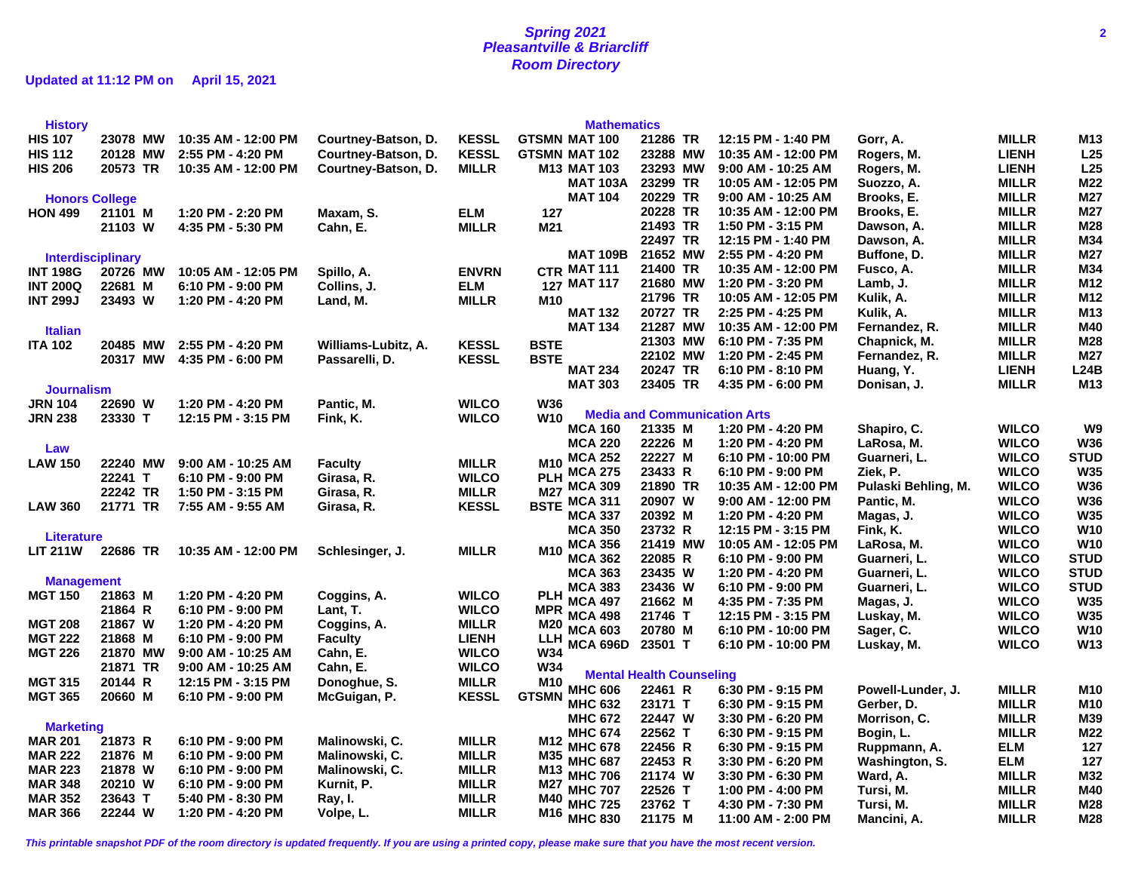## **Spring 2021 2 Pleasantville & Briarcliff Room Directory**

**Updated at 11:12 PM on April 15, 2021**

| <b>History</b>           |          |                      |                     |              | <b>Mathematics</b>                |                                     |                     |                        |                              |                 |
|--------------------------|----------|----------------------|---------------------|--------------|-----------------------------------|-------------------------------------|---------------------|------------------------|------------------------------|-----------------|
| <b>HIS 107</b>           | 23078 MW | 10:35 AM - 12:00 PM  | Courtney-Batson, D. | <b>KESSL</b> | <b>GTSMN MAT 100</b>              | 21286 TR                            | 12:15 PM - 1:40 PM  | Gorr, A.               | <b>MILLR</b>                 | M <sub>13</sub> |
| <b>HIS 112</b>           | 20128 MW | 2:55 PM - 4:20 PM    | Courtney-Batson, D. | <b>KESSL</b> | <b>GTSMN MAT 102</b>              | 23288 MW                            | 10:35 AM - 12:00 PM | Rogers, M.             | <b>LIENH</b>                 | L25             |
| <b>HIS 206</b>           | 20573 TR | 10:35 AM - 12:00 PM  | Courtney-Batson, D. | <b>MILLR</b> | <b>M13 MAT 103</b>                | 23293 MW                            | 9:00 AM - 10:25 AM  | Rogers, M.             | <b>LIENH</b>                 | L25             |
|                          |          |                      |                     |              | <b>MAT 103A</b>                   | 23299 TR                            | 10:05 AM - 12:05 PM | Suozzo, A.             | <b>MILLR</b>                 | M22             |
| <b>Honors College</b>    |          |                      |                     |              | <b>MAT 104</b>                    | 20229 TR                            | 9:00 AM - 10:25 AM  | Brooks, E.             | <b>MILLR</b>                 | M27             |
| <b>HON 499</b>           | 21101 M  | 1:20 PM - 2:20 PM    | Maxam, S.           | <b>ELM</b>   | 127                               | 20228 TR                            | 10:35 AM - 12:00 PM | Brooks, E.             | <b>MILLR</b>                 | M27             |
|                          | 21103 W  | 4:35 PM - 5:30 PM    | Cahn, E.            | <b>MILLR</b> | M21                               | 21493 TR                            | 1:50 PM - 3:15 PM   | Dawson, A.             | <b>MILLR</b>                 | M28             |
|                          |          |                      |                     |              |                                   | 22497 TR                            | 12:15 PM - 1:40 PM  | Dawson, A.             | <b>MILLR</b>                 | M34             |
| <b>Interdisciplinary</b> |          |                      |                     |              | <b>MAT 109B</b>                   | 21652 MW                            | 2:55 PM - 4:20 PM   | Buffone, D.            | <b>MILLR</b>                 | M27             |
| <b>INT 198G</b>          | 20726 MW | 10:05 AM - 12:05 PM  | Spillo, A.          | <b>ENVRN</b> | CTR MAT 111                       | 21400 TR                            | 10:35 AM - 12:00 PM | Fusco, A.              | <b>MILLR</b>                 | M34             |
| <b>INT 200Q</b>          | 22681 M  | 6:10 PM - 9:00 PM    | Collins, J.         | <b>ELM</b>   | 127 MAT 117                       | 21680 MW                            | 1:20 PM - 3:20 PM   | Lamb, J.               | <b>MILLR</b>                 | M12             |
| <b>INT 299J</b>          | 23493 W  | 1:20 PM - 4:20 PM    | Land, M.            | <b>MILLR</b> | M10                               | 21796 TR                            | 10:05 AM - 12:05 PM | Kulik, A.              | <b>MILLR</b>                 | M12             |
|                          |          |                      |                     |              | <b>MAT 132</b>                    | 20727 TR                            | 2:25 PM - 4:25 PM   | Kulik, A.              | <b>MILLR</b>                 | M13             |
| <b>Italian</b>           |          |                      |                     |              | <b>MAT 134</b>                    | 21287 MW                            | 10:35 AM - 12:00 PM | Fernandez, R.          | <b>MILLR</b>                 | M40             |
| <b>ITA 102</b>           | 20485 MW | 2:55 PM - 4:20 PM    |                     | <b>KESSL</b> | <b>BSTE</b>                       | 21303 MW                            | 6:10 PM - 7:35 PM   | Chapnick, M.           | <b>MILLR</b>                 | M28             |
|                          |          | 4:35 PM - 6:00 PM    | Williams-Lubitz, A. | <b>KESSL</b> | <b>BSTE</b>                       | 22102 MW                            | 1:20 PM - 2:45 PM   | Fernandez, R.          | <b>MILLR</b>                 | M27             |
|                          | 20317 MW |                      | Passarelli, D.      |              | <b>MAT 234</b>                    | 20247 TR                            | 6:10 PM - 8:10 PM   | Huang, Y.              | <b>LIENH</b>                 | L24B            |
|                          |          |                      |                     |              | <b>MAT 303</b>                    | 23405 TR                            | 4:35 PM - 6:00 PM   | Donisan, J.            | <b>MILLR</b>                 | M <sub>13</sub> |
| <b>Journalism</b>        |          |                      |                     |              |                                   |                                     |                     |                        |                              |                 |
| <b>JRN 104</b>           | 22690 W  | 1:20 PM - 4:20 PM    | Pantic, M.          | <b>WILCO</b> | <b>W36</b><br><b>W10</b>          | <b>Media and Communication Arts</b> |                     |                        |                              |                 |
| <b>JRN 238</b>           | 23330 T  | 12:15 PM - 3:15 PM   | Fink, K.            | <b>WILCO</b> | <b>MCA 160</b>                    | 21335 M                             | 1:20 PM - 4:20 PM   | Shapiro, C.            | <b>WILCO</b>                 | W9              |
|                          |          |                      |                     |              | <b>MCA 220</b>                    | 22226 M                             | 1:20 PM - 4:20 PM   | LaRosa, M.             | <b>WILCO</b>                 | <b>W36</b>      |
| Law                      |          |                      |                     |              | <b>MCA 252</b>                    | 22227 M                             | 6:10 PM - 10:00 PM  | Guarneri, L.           | <b>WILCO</b>                 | <b>STUD</b>     |
| <b>LAW 150</b>           | 22240 MW | 9:00 AM - 10:25 AM   | <b>Faculty</b>      | <b>MILLR</b> | <b>M10</b><br>PLH MCA 275         | 23433 R                             | 6:10 PM - 9:00 PM   | Ziek, P.               | <b>WILCO</b>                 | <b>W35</b>      |
|                          | 22241 T  | 6:10 PM - 9:00 PM    | Girasa, R.          | <b>WILCO</b> | M27 MCA 309                       | 21890 TR                            | 10:35 AM - 12:00 PM | Pulaski Behling, M.    | <b>WILCO</b>                 | <b>W36</b>      |
|                          | 22242 TR | 1:50 PM - 3:15 PM    | Girasa, R.          | <b>MILLR</b> | <b>MCA 311</b>                    | 20907 W                             | 9:00 AM - 12:00 PM  | Pantic, M.             | <b>WILCO</b>                 | <b>W36</b>      |
| <b>LAW 360</b>           | 21771 TR | 7:55 AM - 9:55 AM    | Girasa, R.          | <b>KESSL</b> | <b>BSTE</b><br><b>MCA 337</b>     | 20392 M                             | 1:20 PM - 4:20 PM   | Magas, J.              | <b>WILCO</b>                 | <b>W35</b>      |
|                          |          |                      |                     |              | <b>MCA 350</b>                    | 23732 R                             | 12:15 PM - 3:15 PM  | Fink, K.               | <b>WILCO</b>                 | <b>W10</b>      |
| <b>Literature</b>        |          |                      |                     |              | <b>MCA 356</b>                    | 21419 MW                            | 10:05 AM - 12:05 PM | LaRosa, M.             | <b>WILCO</b>                 | <b>W10</b>      |
| <b>LIT 211W</b>          | 22686 TR | 10:35 AM - 12:00 PM  | Schlesinger, J.     | <b>MILLR</b> | M10<br><b>MCA 362</b>             | 22085 R                             | 6:10 PM - 9:00 PM   | Guarneri, L.           | <b>WILCO</b>                 | <b>STUD</b>     |
|                          |          |                      |                     |              | <b>MCA 363</b>                    | 23435 W                             | 1:20 PM - 4:20 PM   | Guarneri, L.           | <b>WILCO</b>                 | <b>STUD</b>     |
| <b>Management</b>        |          |                      |                     |              | <b>MCA 383</b>                    | 23436 W                             | 6:10 PM - 9:00 PM   | Guarneri, L.           | <b>WILCO</b>                 | <b>STUD</b>     |
| <b>MGT 150</b>           | 21863 M  | 1:20 PM - 4:20 PM    | Coggins, A.         | <b>WILCO</b> | <b>PLH</b><br><b>MCA 497</b>      | 21662 M                             | 4:35 PM - 7:35 PM   | Magas, J.              | <b>WILCO</b>                 | <b>W35</b>      |
|                          | 21864 R  | 6:10 PM - 9:00 PM    | Lant, T.            | <b>WILCO</b> | <b>MPR</b><br><b>MCA 498</b>      | 21746 T                             | 12:15 PM - 3:15 PM  | Luskay, M.             | <b>WILCO</b>                 | <b>W35</b>      |
| <b>MGT 208</b>           | 21867 W  | 1:20 PM - 4:20 PM    | Coggins, A.         | <b>MILLR</b> | M20<br><b>MCA 603</b>             | 20780 M                             | 6:10 PM - 10:00 PM  | Sager, C.              | <b>WILCO</b>                 | <b>W10</b>      |
| <b>MGT 222</b>           | 21868 M  | 6:10 PM - 9:00 PM    | <b>Faculty</b>      | <b>LIENH</b> | LLH<br><b>MCA 696D</b>            | 23501 T                             | 6:10 PM - 10:00 PM  | Luskay, M.             | <b>WILCO</b>                 | W13             |
| <b>MGT 226</b>           | 21870 MW | $9:00$ AM - 10:25 AM | Cahn, E.            | <b>WILCO</b> | W34                               |                                     |                     |                        |                              |                 |
|                          | 21871 TR | 9:00 AM - 10:25 AM   | Cahn, E.            | <b>WILCO</b> | W34                               | <b>Mental Health Counseling</b>     |                     |                        |                              |                 |
| <b>MGT 315</b>           | 20144 R  | 12:15 PM - 3:15 PM   | Donoghue, S.        | <b>MILLR</b> | M10<br><b>MHC 606</b>             | 22461 R                             | 6:30 PM - 9:15 PM   | Powell-Lunder, J.      | <b>MILLR</b>                 | M10             |
| <b>MGT 365</b>           | 20660 M  | 6:10 PM - 9:00 PM    | McGuigan, P.        | <b>KESSL</b> | <b>GTSMN</b><br><b>MHC 632</b>    | 23171 T                             | 6:30 PM - 9:15 PM   | Gerber, D.             | <b>MILLR</b>                 | M <sub>10</sub> |
|                          |          |                      |                     |              | <b>MHC 672</b>                    | 22447 W                             | 3:30 PM - 6:20 PM   | Morrison, C.           | <b>MILLR</b>                 | M39             |
| <b>Marketing</b>         |          |                      |                     |              | <b>MHC 674</b>                    | 22562 T                             | 6:30 PM - 9:15 PM   | Bogin, L.              | <b>MILLR</b>                 | M22             |
| <b>MAR 201</b>           | 21873 R  | 6:10 PM - 9:00 PM    | Malinowski, C.      | <b>MILLR</b> | M <sub>12</sub><br><b>MHC 678</b> | 22456 R                             | 6:30 PM - 9:15 PM   | Ruppmann, A.           | ELM                          | 127             |
| <b>MAR 222</b>           | 21876 M  | 6:10 PM - 9:00 PM    | Malinowski, C.      | <b>MILLR</b> | M35<br><b>MHC 687</b>             | 22453 R                             | 3:30 PM - 6:20 PM   | Washington, S.         | <b>ELM</b>                   | 127             |
| <b>MAR 223</b>           | 21878 W  | 6:10 PM - 9:00 PM    | Malinowski, C.      | <b>MILLR</b> | M13<br><b>MHC 706</b>             | 21174 W                             | 3:30 PM - 6:30 PM   | Ward, A.               |                              | M32             |
| <b>MAR 348</b>           | 20210 W  | 6:10 PM - 9:00 PM    | Kurnit, P.          | <b>MILLR</b> | M27<br><b>MHC 707</b>             | 22526 T                             | 1:00 PM - 4:00 PM   |                        | <b>MILLR</b>                 | M40             |
| <b>MAR 352</b>           | 23643 T  | 5:40 PM - 8:30 PM    | Ray, I.             | <b>MILLR</b> | M40<br><b>MHC 725</b>             | 23762 T                             | 4:30 PM - 7:30 PM   | Tursi, M.<br>Tursi, M. | <b>MILLR</b><br><b>MILLR</b> | M28             |
| <b>MAR 366</b>           | 22244 W  | 1:20 PM - 4:20 PM    | Volpe, L.           | <b>MILLR</b> | M16<br><b>MHC 830</b>             |                                     |                     |                        |                              | M28             |
|                          |          |                      |                     |              |                                   | 21175 M                             | 11:00 AM - 2:00 PM  | Mancini, A.            | <b>MILLR</b>                 |                 |

**This printable snapshot PDF of the room directory is updated frequently. If you are using a printed copy, please make sure that you have the most recent version.**